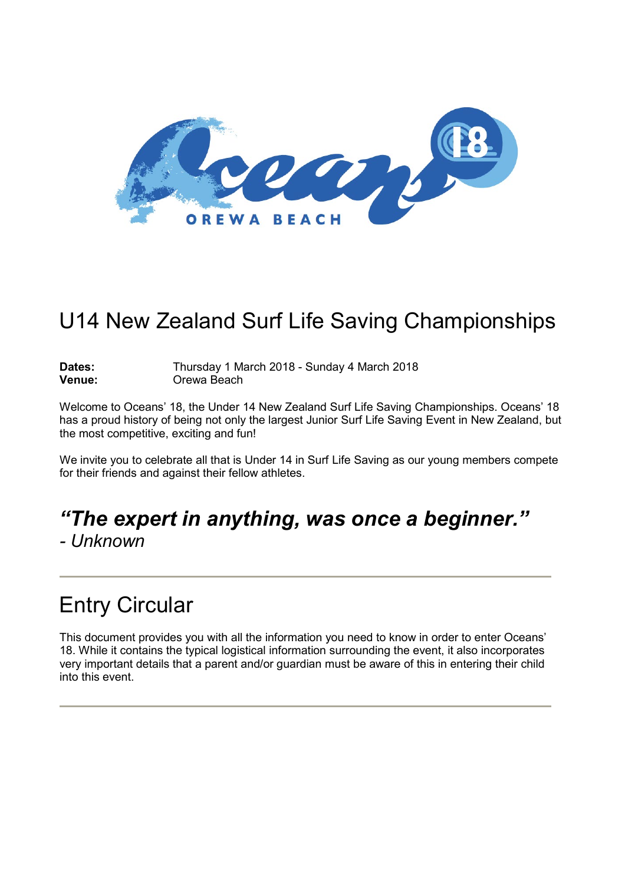

# U14 New Zealand Surf Life Saving Championships

Dates: Thursday 1 March 2018 - Sunday 4 March 2018<br> **Venue:** Orewa Beach **Orewa Beach** 

Welcome to Oceans' 18, the Under 14 New Zealand Surf Life Saving Championships. Oceans' 18 has a proud history of being not only the largest Junior Surf Life Saving Event in New Zealand, but the most competitive, exciting and fun!

We invite you to celebrate all that is Under 14 in Surf Life Saving as our young members compete for their friends and against their fellow athletes.

# *"The expert in anything, was once a beginner."*

*- Unknown*

# Entry Circular

This document provides you with all the information you need to know in order to enter Oceans' 18. While it contains the typical logistical information surrounding the event, it also incorporates very important details that a parent and/or guardian must be aware of this in entering their child into this event.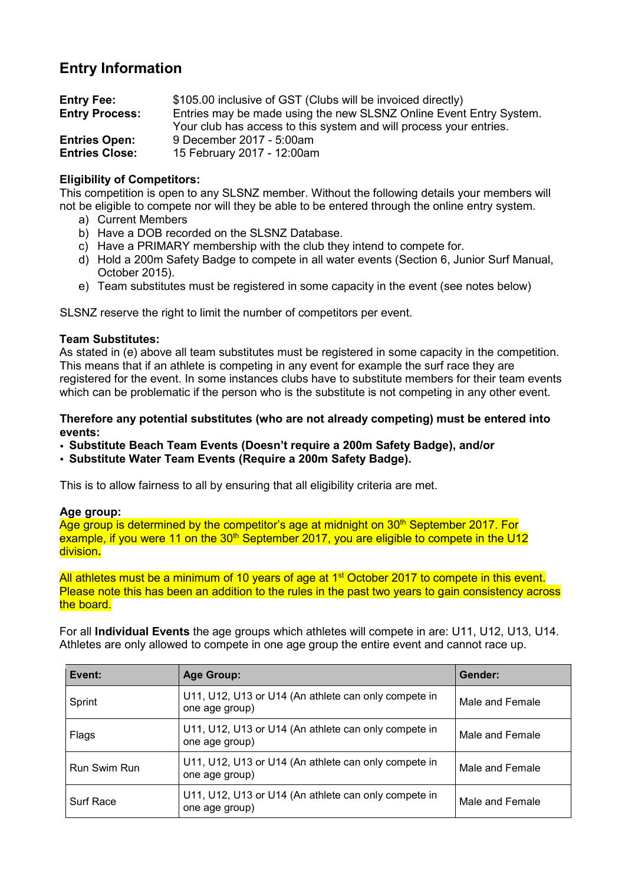# **Entry Information**

| <b>Entry Fee:</b>     | \$105.00 inclusive of GST (Clubs will be invoiced directly)        |
|-----------------------|--------------------------------------------------------------------|
| <b>Entry Process:</b> | Entries may be made using the new SLSNZ Online Event Entry System. |
|                       | Your club has access to this system and will process your entries. |
| <b>Entries Open:</b>  | 9 December 2017 - 5:00am                                           |
| <b>Entries Close:</b> | 15 February 2017 - 12:00am                                         |

### **Eligibility of Competitors:**

This competition is open to any SLSNZ member. Without the following details your members will not be eligible to compete nor will they be able to be entered through the online entry system.

- a) Current Members
- b) Have a DOB recorded on the SLSNZ Database.
- c) Have a PRIMARY membership with the club they intend to compete for.
- d) Hold a 200m Safety Badge to compete in all water events (Section 6, Junior Surf Manual, October 2015).
- e) Team substitutes must be registered in some capacity in the event (see notes below)

SLSNZ reserve the right to limit the number of competitors per event.

#### **Team Substitutes:**

As stated in (e) above all team substitutes must be registered in some capacity in the competition. This means that if an athlete is competing in any event for example the surf race they are registered for the event. In some instances clubs have to substitute members for their team events which can be problematic if the person who is the substitute is not competing in any other event.

#### **Therefore any potential substitutes (who are not already competing) must be entered into events:**

- **Substitute Beach Team Events (Doesn't require a 200m Safety Badge), and/or**
- **Substitute Water Team Events (Require a 200m Safety Badge).**

This is to allow fairness to all by ensuring that all eligibility criteria are met.

#### **Age group:**

Age group is determined by the competitor's age at midnight on 30<sup>th</sup> September 2017. For example, if you were 11 on the  $30<sup>th</sup>$  September 2017, you are eligible to compete in the U12 division**.**

All athletes must be a minimum of 10 years of age at 1<sup>st</sup> October 2017 to compete in this event. Please note this has been an addition to the rules in the past two years to gain consistency across the board.

For all **Individual Events** the age groups which athletes will compete in are: U11, U12, U13, U14. Athletes are only allowed to compete in one age group the entire event and cannot race up.

| Event:              | Age Group:                                                             | Gender:         |
|---------------------|------------------------------------------------------------------------|-----------------|
| Sprint              | U11, U12, U13 or U14 (An athlete can only compete in<br>one age group) | Male and Female |
| Flags               | U11, U12, U13 or U14 (An athlete can only compete in<br>one age group) | Male and Female |
| <b>Run Swim Run</b> | U11, U12, U13 or U14 (An athlete can only compete in<br>one age group) | Male and Female |
| Surf Race           | U11, U12, U13 or U14 (An athlete can only compete in<br>one age group) | Male and Female |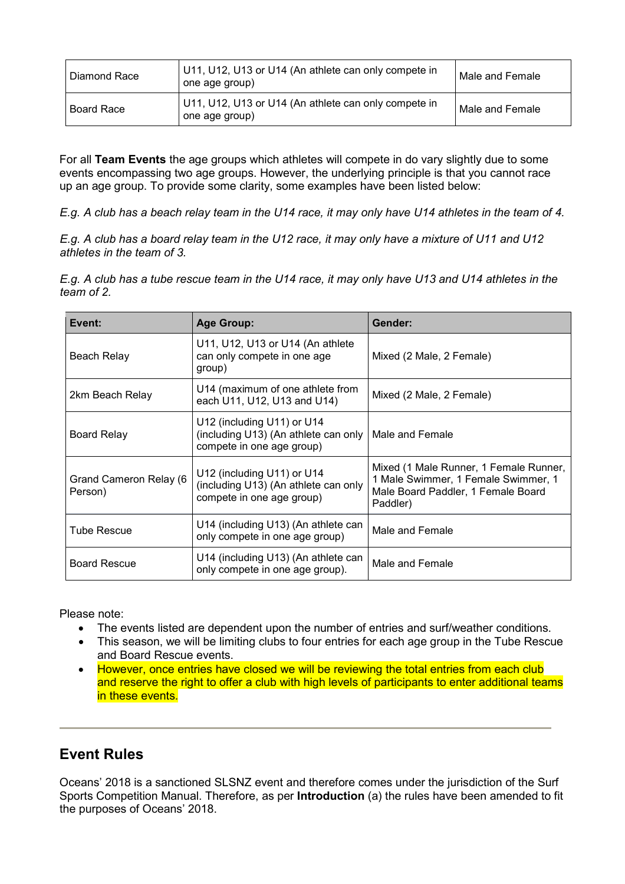| Diamond Race      | U11, U12, U13 or U14 (An athlete can only compete in<br>one age group) | Male and Female |
|-------------------|------------------------------------------------------------------------|-----------------|
| <b>Board Race</b> | U11, U12, U13 or U14 (An athlete can only compete in<br>one age group) | Male and Female |

For all **Team Events** the age groups which athletes will compete in do vary slightly due to some events encompassing two age groups. However, the underlying principle is that you cannot race up an age group. To provide some clarity, some examples have been listed below:

E.g. A club has a beach relay team in the U14 race, it may only have U14 athletes in the team of 4.

E.g. A club has a board relay team in the U12 race, it may only have a mixture of U11 and U12 *athletes in the team of 3.*

E.g. A club has a tube rescue team in the U14 race, it may only have U13 and U14 athletes in the *team of 2.*

| Event:                            | <b>Age Group:</b>                                                                                 | Gender:                                                                                                                         |
|-----------------------------------|---------------------------------------------------------------------------------------------------|---------------------------------------------------------------------------------------------------------------------------------|
| Beach Relay                       | U11, U12, U13 or U14 (An athlete<br>can only compete in one age<br>group)                         | Mixed (2 Male, 2 Female)                                                                                                        |
| 2km Beach Relay                   | U14 (maximum of one athlete from<br>each U11, U12, U13 and U14)                                   | Mixed (2 Male, 2 Female)                                                                                                        |
| <b>Board Relay</b>                | U12 (including U11) or U14<br>(including U13) (An athlete can only  <br>compete in one age group) | Male and Female                                                                                                                 |
| Grand Cameron Relay (6<br>Person) | U12 (including U11) or U14<br>(including U13) (An athlete can only<br>compete in one age group)   | Mixed (1 Male Runner, 1 Female Runner,<br>1 Male Swimmer, 1 Female Swimmer, 1<br>Male Board Paddler, 1 Female Board<br>Paddler) |
| <b>Tube Rescue</b>                | U14 (including U13) (An athlete can<br>only compete in one age group)                             | Male and Female                                                                                                                 |
| <b>Board Rescue</b>               | U14 (including U13) (An athlete can<br>only compete in one age group).                            | Male and Female                                                                                                                 |

Please note:

- The events listed are dependent upon the number of entries and surf/weather conditions.
- This season, we will be limiting clubs to four entries for each age group in the Tube Rescue and Board Rescue events.
- However, once entries have closed we will be reviewing the total entries from each club and reserve the right to offer a club with high levels of participants to enter additional teams in these events.

# **Event Rules**

Oceans' 2018 is a sanctioned SLSNZ event and therefore comes under the jurisdiction of the Surf Sports Competition Manual. Therefore, as per **Introduction** (a) the rules have been amended to fit the purposes of Oceans' 2018.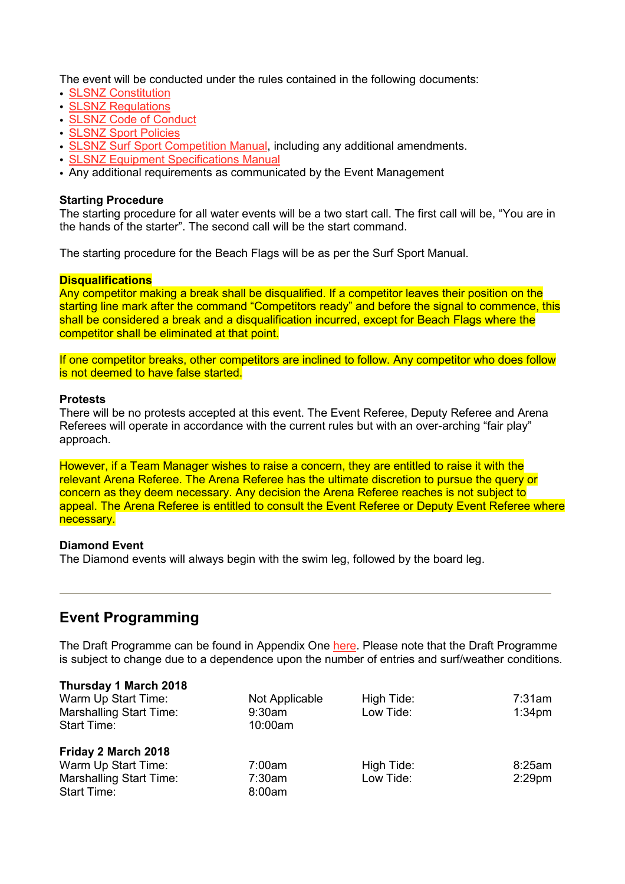The event will be conducted under the rules contained in the following documents:

- SLSNZ [Constitution](http://www.surflifesaving.org.nz/organisation/about-us/management-documents/)
- SLSNZ [Regulations](http://www.surflifesaving.org.nz/organisation/about-us/management-documents/)
- SLSNZ Code of [Conduct](http://www.surflifesaving.org.nz/organisation/about-us/management-documents/)
- SLSNZ Sport [Policies](http://www.surflifesaving.org.nz/sport/about-us/sport-policies/)
- SLSNZ Surf Sport [Competition](http://www.surflifesaving.org.nz/sport/about-us/surf-sport-manual/) Manual, including any additional amendments.
- SLSNZ Equipment [Specifications](http://www.surflifesaving.org.nz/sport/about-us/sport-documents/) Manual
- Any additional requirements as communicated by the Event Management

#### **Starting Procedure**

The starting procedure for all water events will be a two start call. The first call will be, "You are in the hands of the starter". The second call will be the start command.

The starting procedure for the Beach Flags will be as per the Surf Sport Manual.

#### **Disqualifications**

Any competitor making a break shall be disqualified. If a competitor leaves their position on the starting line mark after the command "Competitors ready" and before the signal to commence, this shall be considered a break and a disqualification incurred, except for Beach Flags where the competitor shall be eliminated at that point.

If one competitor breaks, other competitors are inclined to follow. Any competitor who does follow is not deemed to have false started.

#### **Protests**

There will be no protests accepted at this event. The Event Referee, Deputy Referee and Arena Referees will operate in accordance with the current rules but with an over-arching "fair play" approach.

However, if a Team Manager wishes to raise a concern, they are entitled to raise it with the relevant Arena Referee. The Arena Referee has the ultimate discretion to pursue the query or concern as they deem necessary. Any decision the Arena Referee reaches is not subject to appeal. The Arena Referee is entitled to consult the Event Referee or Deputy Event Referee where necessary.

#### **Diamond Event**

The Diamond events will always begin with the swim leg, followed by the board leg.

# **Event Programming**

**Thursday 1 March 2018**

The Draft Programme can be found in Appendix One [here.](http://www.surflifesaving.org.nz/calendar/2018/march/u14-new-zealand-surf-life-saving-championships-(oceans18)/) Please note that the Draft Programme is subject to change due to a dependence upon the number of entries and surf/weather conditions.

| <b>INUISORY 1 MATCH 2018</b><br>Warm Up Start Time:<br><b>Marshalling Start Time:</b><br><b>Start Time:</b> | Not Applicable<br>9:30am<br>10:00am | High Tide:<br>Low Tide: | 7:31am<br>1:34 <sub>pm</sub> |
|-------------------------------------------------------------------------------------------------------------|-------------------------------------|-------------------------|------------------------------|
| Friday 2 March 2018<br>Warm Up Start Time:<br><b>Marshalling Start Time:</b><br><b>Start Time:</b>          | 7:00am<br>7:30am<br>8:00am          | High Tide:<br>Low Tide: | 8:25am<br>$2:29$ pm          |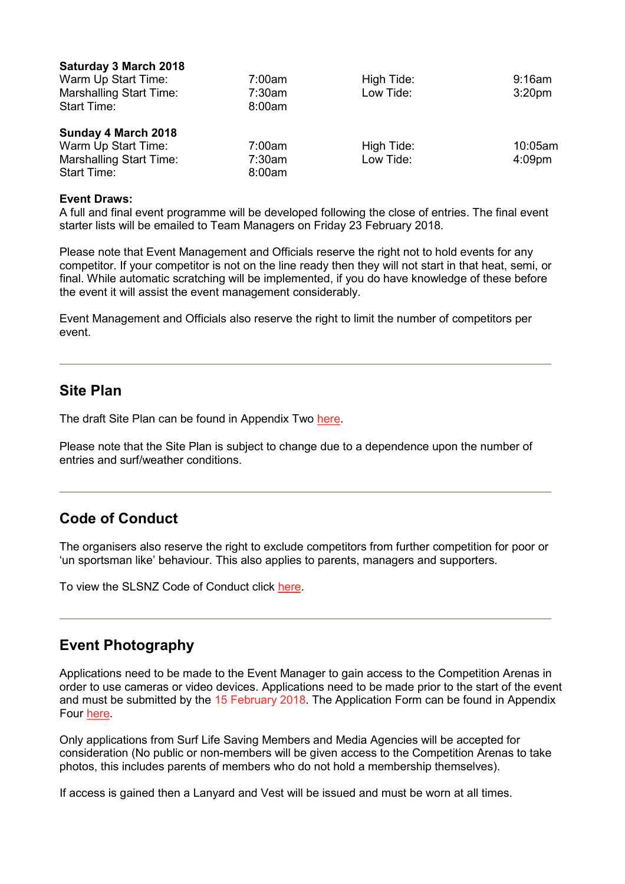| 7:00am | High Tide: | $9:16$ am          |
|--------|------------|--------------------|
| 7:30am | Low Tide:  | 3:20 <sub>pm</sub> |
| 8:00am |            |                    |
|        |            |                    |
|        |            |                    |
| 7:00am | High Tide: | 10:05am            |
| 7:30am | Low Tide:  | $4:09$ pm          |
|        |            |                    |

#### **Event Draws:**

 $\sim$   $-$ 

A full and final event programme will be developed following the close of entries. The final event starter lists will be emailed to Team Managers on Friday 23 February 2018.

Please note that Event Management and Officials reserve the right not to hold events for any competitor. If your competitor is not on the line ready then they will not start in that heat, semi, or final. While automatic scratching will be implemented, if you do have knowledge of these before the event it will assist the event management considerably.

Event Management and Officials also reserve the right to limit the number of competitors per event.

### **Site Plan**

The draft Site Plan can be found in Appendix Two [here.](http://www.surflifesaving.org.nz/calendar/2018/march/u14-new-zealand-surf-life-saving-championships-(oceans18)/)

Please note that the Site Plan is subject to change due to a dependence upon the number of entries and surf/weather conditions.

# **Code of Conduct**

The organisers also reserve the right to exclude competitors from further competition for poor or 'un sportsman like' behaviour. This also applies to parents, managers and supporters.

To view the SLSNZ Code of Conduct click [here.](http://www.surflifesaving.org.nz/organisation/about-us/management-documents/)

# **Event Photography**

Applications need to be made to the Event Manager to gain access to the Competition Arenas in order to use cameras or video devices. Applications need to be made prior to the start of the event and must be submitted by the 15 February 2018. The Application Form can be found in Appendix Four [here.](http://www.surflifesaving.org.nz/calendar/2018/march/u14-new-zealand-surf-life-saving-championships-(oceans18)/)

Only applications from Surf Life Saving Members and Media Agencies will be accepted for consideration (No public or non-members will be given access to the Competition Arenas to take photos, this includes parents of members who do not hold a membership themselves).

If access is gained then a Lanyard and Vest will be issued and must be worn at all times.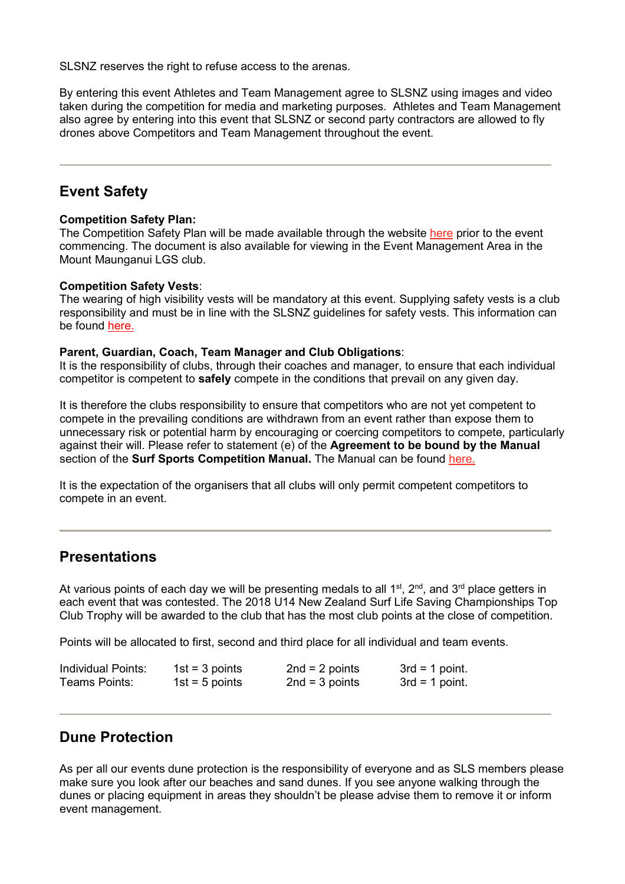SLSNZ reserves the right to refuse access to the arenas.

By entering this event Athletes and Team Management agree to SLSNZ using images and video taken during the competition for media and marketing purposes. Athletes and Team Management also agree by entering into this event that SLSNZ or second party contractors are allowed to fly drones above Competitors and Team Management throughout the event.

# **Event Safety**

#### **Competition Safety Plan:**

The Competition Safety Plan will be made available through the website [here](http://www.surflifesaving.org.nz/calendar/2018/march/u14-new-zealand-surf-life-saving-championships-(oceans18)/) prior to the event commencing. The document is also available for viewing in the Event Management Area in the Mount Maunganui LGS club.

#### **Competition Safety Vests**:

The wearing of high visibility vests will be mandatory at this event. Supplying safety vests is a club responsibility and must be in line with the SLSNZ guidelines for safety vests. This information can be found [here.](http://www.surflifesaving.org.nz/sport/about-us/sport-documents/)

#### **Parent, Guardian, Coach, Team Manager and Club Obligations**:

It is the responsibility of clubs, through their coaches and manager, to ensure that each individual competitor is competent to **safely** compete in the conditions that prevail on any given day.

It is therefore the clubs responsibility to ensure that competitors who are not yet competent to compete in the prevailing conditions are withdrawn from an event rather than expose them to unnecessary risk or potential harm by encouraging or coercing competitors to compete, particularly against their will. Please refer to statement (e) of the **Agreement to be bound by the Manual** section of the **Surf Sports Competition Manual.** The Manual can be found [here.](http://www.surflifesaving.org.nz/sport/about-us/surf-sport-manual/)

It is the expectation of the organisers that all clubs will only permit competent competitors to compete in an event.

# **Presentations**

At various points of each day we will be presenting medals to all  $1<sup>st</sup>$ ,  $2<sup>nd</sup>$ , and  $3<sup>rd</sup>$  place getters in each event that was contested. The 2018 U14 New Zealand Surf Life Saving Championships Top Club Trophy will be awarded to the club that has the most club points at the close of competition.

Points will be allocated to first, second and third place for all individual and team events.

| Individual Points: | $1st = 3 points$ | $2nd = 2 points$ | $3rd = 1$ point. |
|--------------------|------------------|------------------|------------------|
| Teams Points:      | 1st = 5 points   | $2nd = 3 points$ | $3rd = 1$ point. |

# **Dune Protection**

As per all our events dune protection is the responsibility of everyone and as SLS members please make sure you look after our beaches and sand dunes. If you see anyone walking through the dunes or placing equipment in areas they shouldn't be please advise them to remove it or inform event management.